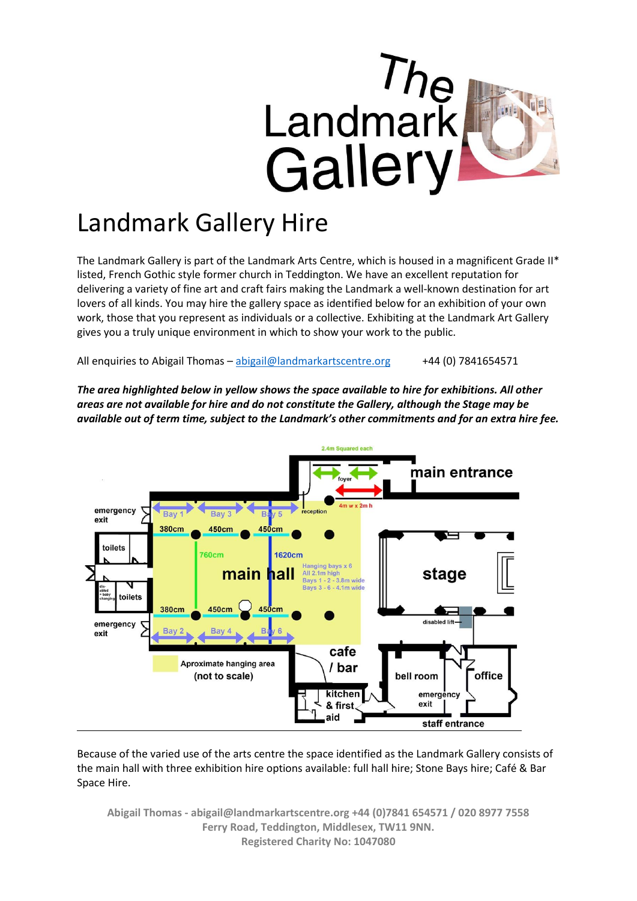

# Landmark Gallery Hire

The Landmark Gallery is part of the Landmark Arts Centre, which is housed in a magnificent Grade II\* listed, French Gothic style former church in Teddington. We have an excellent reputation for delivering a variety of fine art and craft fairs making the Landmark a well-known destination for art lovers of all kinds. You may hire the gallery space as identified below for an exhibition of your own work, those that you represent as individuals or a collective. Exhibiting at the Landmark Art Gallery gives you a truly unique environment in which to show your work to the public.

All enquiries to Abigail Thomas – [abigail@landmarkartscentre.org](mailto:abigail@landmarkartscentre.org) +44 (0) 7841654571

*The area highlighted below in yellow shows the space available to hire for exhibitions. All other areas are not available for hire and do not constitute the Gallery, although the Stage may be available out of term time, subject to the Landmark's other commitments and for an extra hire fee.* 



Because of the varied use of the arts centre the space identified as the Landmark Gallery consists of the main hall with three exhibition hire options available: full hall hire; Stone Bays hire; Café & Bar Space Hire.

**Abigail Thomas - abigail@landmarkartscentre.org +44 (0)7841 654571 / 020 8977 7558 Ferry Road, Teddington, Middlesex, TW11 9NN. Registered Charity No: 1047080**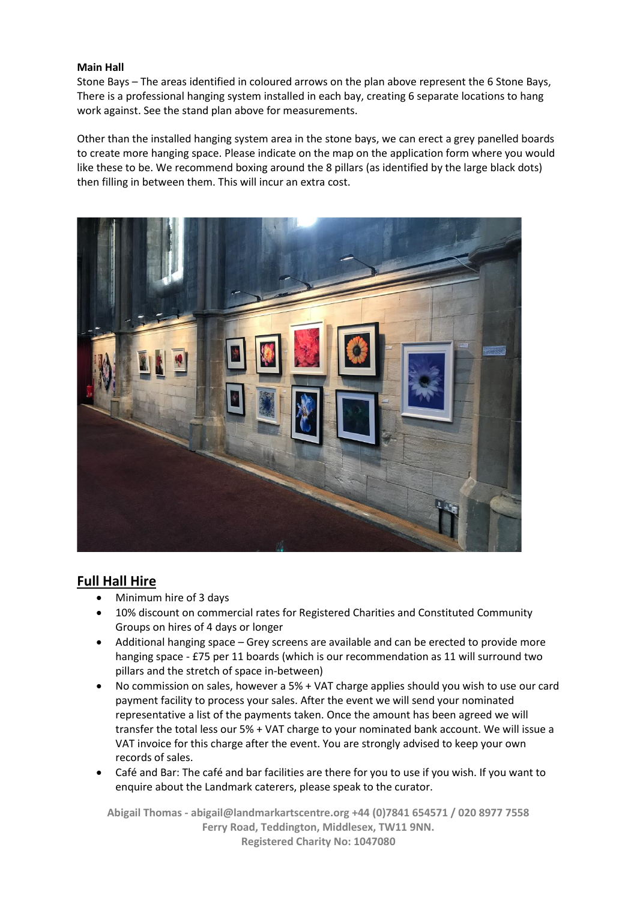#### **Main Hall**

Stone Bays – The areas identified in coloured arrows on the plan above represent the 6 Stone Bays, There is a professional hanging system installed in each bay, creating 6 separate locations to hang work against. See the stand plan above for measurements.

Other than the installed hanging system area in the stone bays, we can erect a grey panelled boards to create more hanging space. Please indicate on the map on the application form where you would like these to be. We recommend boxing around the 8 pillars (as identified by the large black dots) then filling in between them. This will incur an extra cost.



### **Full Hall Hire**

- Minimum hire of 3 days
- 10% discount on commercial rates for Registered Charities and Constituted Community Groups on hires of 4 days or longer
- Additional hanging space Grey screens are available and can be erected to provide more hanging space - £75 per 11 boards (which is our recommendation as 11 will surround two pillars and the stretch of space in-between)
- No commission on sales, however a 5% + VAT charge applies should you wish to use our card payment facility to process your sales. After the event we will send your nominated representative a list of the payments taken. Once the amount has been agreed we will transfer the total less our 5% + VAT charge to your nominated bank account. We will issue a VAT invoice for this charge after the event. You are strongly advised to keep your own records of sales.
- Café and Bar: The café and bar facilities are there for you to use if you wish. If you want to enquire about the Landmark caterers, please speak to the curator.

**Abigail Thomas - abigail@landmarkartscentre.org +44 (0)7841 654571 / 020 8977 7558 Ferry Road, Teddington, Middlesex, TW11 9NN. Registered Charity No: 1047080**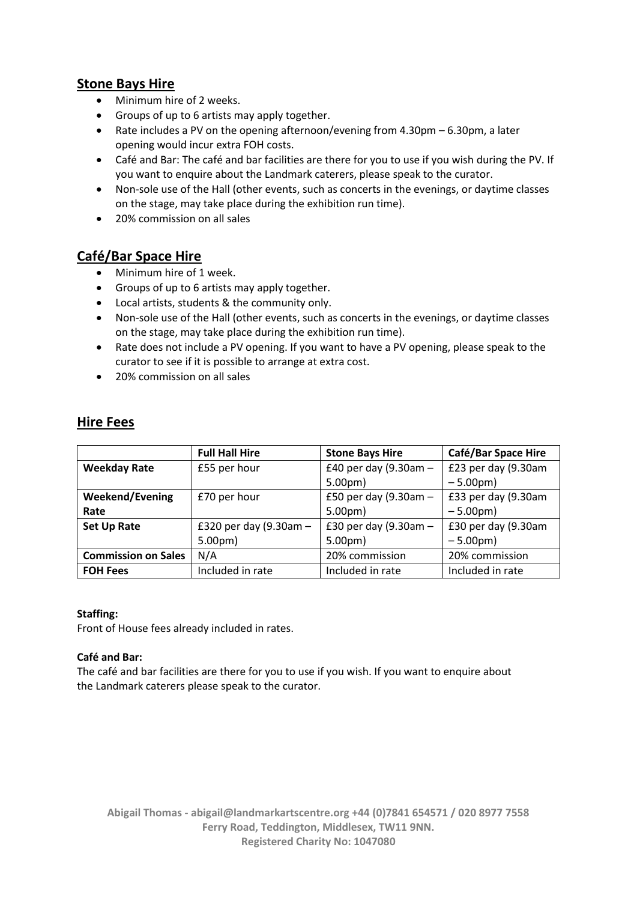## **Stone Bays Hire**

- Minimum hire of 2 weeks.
- Groups of up to 6 artists may apply together.
- Rate includes a PV on the opening afternoon/evening from 4.30pm 6.30pm, a later opening would incur extra FOH costs.
- Café and Bar: The café and bar facilities are there for you to use if you wish during the PV. If you want to enquire about the Landmark caterers, please speak to the curator.
- Non-sole use of the Hall (other events, such as concerts in the evenings, or daytime classes on the stage, may take place during the exhibition run time).
- 20% commission on all sales

## **Café/Bar Space Hire**

- Minimum hire of 1 week.
- Groups of up to 6 artists may apply together.
- Local artists, students & the community only.
- Non-sole use of the Hall (other events, such as concerts in the evenings, or daytime classes on the stage, may take place during the exhibition run time).
- Rate does not include a PV opening. If you want to have a PV opening, please speak to the curator to see if it is possible to arrange at extra cost.
- 20% commission on all sales

## **Hire Fees**

|                            | <b>Full Hall Hire</b>  | <b>Stone Bays Hire</b>   | <b>Café/Bar Space Hire</b> |
|----------------------------|------------------------|--------------------------|----------------------------|
| <b>Weekday Rate</b>        | £55 per hour           | £40 per day (9.30am -    | £23 per day (9.30am        |
|                            |                        | 5.00 <sub>pm</sub>       | $-5.00pm$                  |
| <b>Weekend/Evening</b>     | £70 per hour           | £50 per day (9.30am $-$  | £33 per day (9.30am        |
| Rate                       |                        | 5.00 <sub>pm</sub>       | $-5.00pm$                  |
| <b>Set Up Rate</b>         | £320 per day (9.30am - | £30 per day $(9.30$ am - | £30 per day (9.30am        |
|                            | 5.00 <sub>pm</sub>     | 5.00 <sub>pm</sub>       | $-5.00pm$                  |
| <b>Commission on Sales</b> | N/A                    | 20% commission           | 20% commission             |
| <b>FOH Fees</b>            | Included in rate       | Included in rate         | Included in rate           |

#### **Staffing:**

Front of House fees already included in rates.

#### **Café and Bar:**

The café and bar facilities are there for you to use if you wish. If you want to enquire about the Landmark caterers please speak to the curator.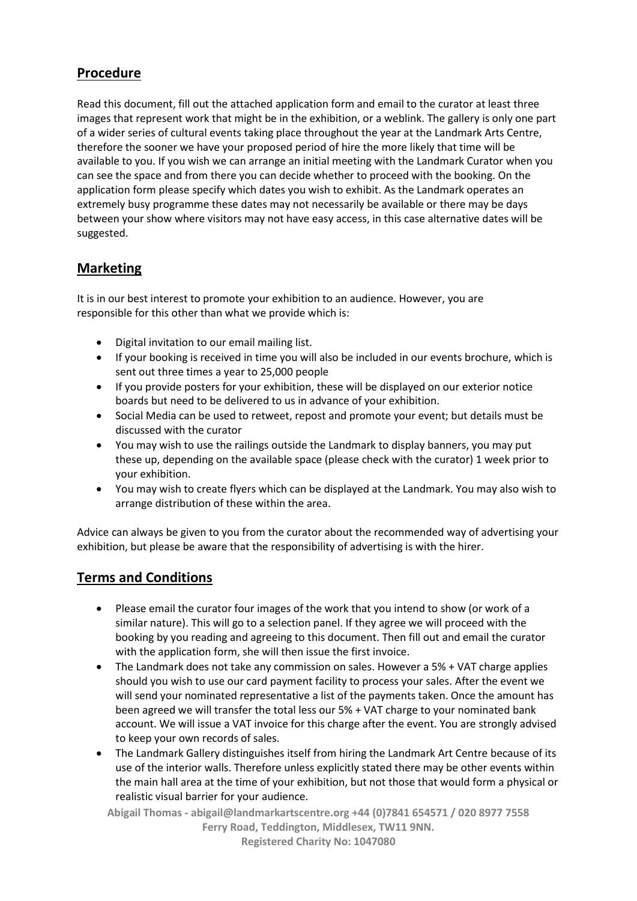## **Procedure**

Read this document, fill out the attached application form and email to the curator at least three images that represent work that might be in the exhibition, or a weblink. The gallery is only one part of a wider series of cultural events taking place throughout the year at the Landmark Arts Centre, therefore the sooner we have your proposed period of hire the more likely that time will be available to you. If you wish we can arrange an initial meeting with the Landmark Curator when you can see the space and from there you can decide whether to proceed with the booking. On the application form please specify which dates you wish to exhibit. As the Landmark operates an extremely busy programme these dates may not necessarily be available or there may be days between your show where visitors may not have easy access, in this case alternative dates will be suggested.

## **Marketing**

It is in our best interest to promote your exhibition to an audience. However, you are responsible for this other than what we provide which is:

- Digital invitation to our email mailing list.
- If your booking is received in time you will also be included in our events brochure, which is sent out three times a year to 25,000 people
- If you provide posters for your exhibition, these will be displayed on our exterior notice boards but need to be delivered to us in advance of your exhibition.
- Social Media can be used to retweet, repost and promote your event; but details must be discussed with the curator
- You may wish to use the railings outside the Landmark to display banners, you may put these up, depending on the available space (please check with the curator) 1 week prior to your exhibition.
- You may wish to create flyers which can be displayed at the Landmark. You may also wish to arrange distribution of these within the area.

Advice can always be given to you from the curator about the recommended way of advertising your exhibition, but please be aware that the responsibility of advertising is with the hirer.

## **Terms and Conditions**

- Please email the curator four images of the work that you intend to show (or work of a similar nature). This will go to a selection panel. If they agree we will proceed with the booking by you reading and agreeing to this document. Then fill out and email the curator with the application form, she will then issue the first invoice.
- The Landmark does not take any commission on sales. However a 5% + VAT charge applies should you wish to use our card payment facility to process your sales. After the event we will send your nominated representative a list of the payments taken. Once the amount has been agreed we will transfer the total less our 5% + VAT charge to your nominated bank account. We will issue a VAT invoice for this charge after the event. You are strongly advised to keep your own records of sales.
- The Landmark Gallery distinguishes itself from hiring the Landmark Art Centre because of its use of the interior walls. Therefore unless explicitly stated there may be other events within the main hall area at the time of your exhibition, but not those that would form a physical or realistic visual barrier for your audience.

**Abigail Thomas - abigail@landmarkartscentre.org +44 (0)7841 654571 / 020 8977 7558 Ferry Road, Teddington, Middlesex, TW11 9NN.**

**Registered Charity No: 1047080**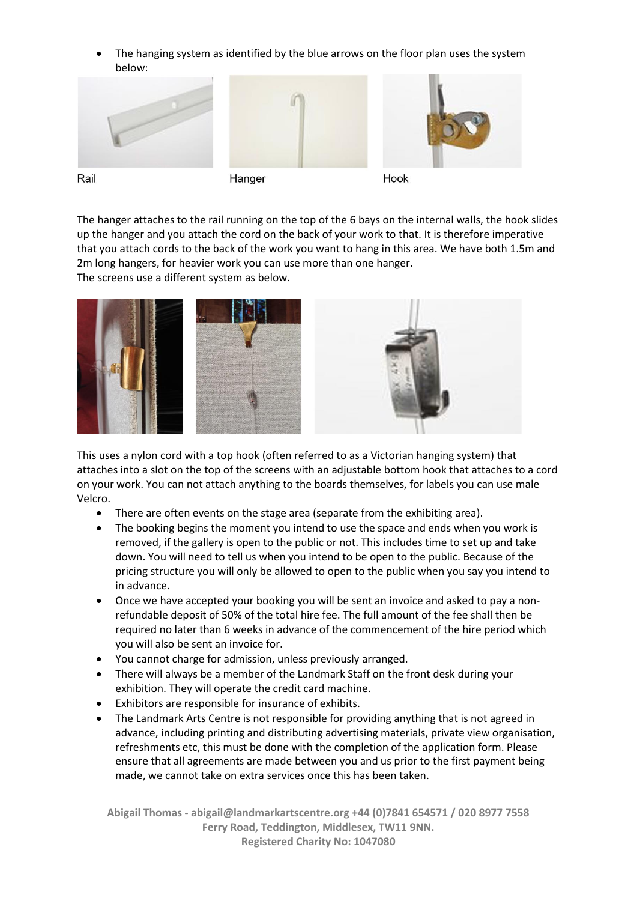The hanging system as identified by the blue arrows on the floor plan uses the system below:



Rail





Hook

The hanger attaches to the rail running on the top of the 6 bays on the internal walls, the hook slides up the hanger and you attach the cord on the back of your work to that. It is therefore imperative that you attach cords to the back of the work you want to hang in this area. We have both 1.5m and 2m long hangers, for heavier work you can use more than one hanger. The screens use a different system as below.



This uses a nylon cord with a top hook (often referred to as a Victorian hanging system) that attaches into a slot on the top of the screens with an adjustable bottom hook that attaches to a cord on your work. You can not attach anything to the boards themselves, for labels you can use male Velcro.

- There are often events on the stage area (separate from the exhibiting area).
- The booking begins the moment you intend to use the space and ends when you work is removed, if the gallery is open to the public or not. This includes time to set up and take down. You will need to tell us when you intend to be open to the public. Because of the pricing structure you will only be allowed to open to the public when you say you intend to in advance.
- Once we have accepted your booking you will be sent an invoice and asked to pay a nonrefundable deposit of 50% of the total hire fee. The full amount of the fee shall then be required no later than 6 weeks in advance of the commencement of the hire period which you will also be sent an invoice for.
- You cannot charge for admission, unless previously arranged.
- There will always be a member of the Landmark Staff on the front desk during your exhibition. They will operate the credit card machine.
- Exhibitors are responsible for insurance of exhibits.
- The Landmark Arts Centre is not responsible for providing anything that is not agreed in advance, including printing and distributing advertising materials, private view organisation, refreshments etc, this must be done with the completion of the application form. Please ensure that all agreements are made between you and us prior to the first payment being made, we cannot take on extra services once this has been taken.

**Abigail Thomas - abigail@landmarkartscentre.org +44 (0)7841 654571 / 020 8977 7558 Ferry Road, Teddington, Middlesex, TW11 9NN. Registered Charity No: 1047080**